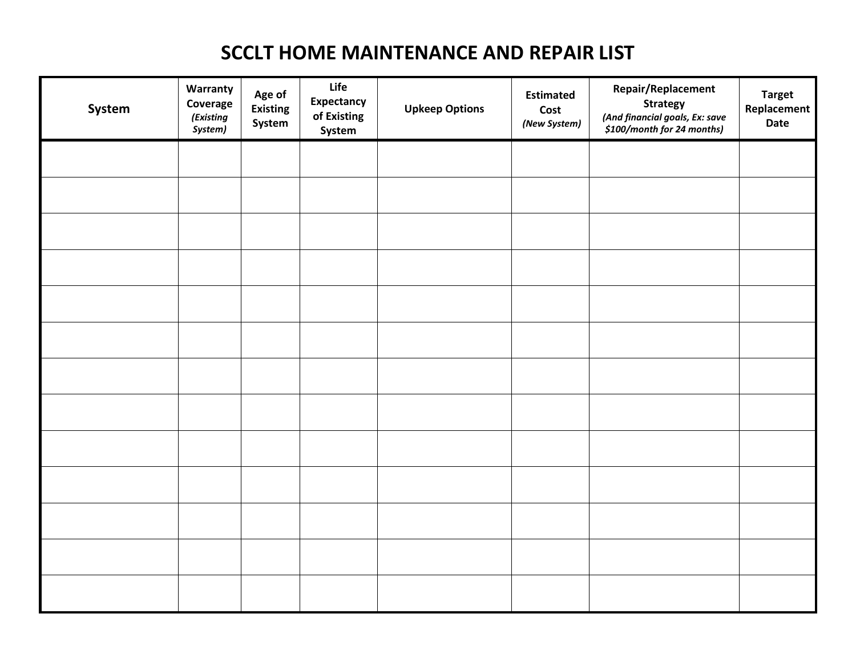# **SCCLT HOME MAINTENANCE AND REPAIR LIST**

| System | Warranty<br>Coverage<br>(Existing<br>System) | Age of<br><b>Existing</b><br>System | Life<br>Expectancy<br>of Existing<br>System | <b>Upkeep Options</b> | <b>Estimated</b><br>Cost<br>(New System) | Repair/Replacement<br><b>Strategy</b><br>(And financial goals, Ex: save<br>\$100/month for 24 months) | <b>Target</b><br>Replacement<br>Date |
|--------|----------------------------------------------|-------------------------------------|---------------------------------------------|-----------------------|------------------------------------------|-------------------------------------------------------------------------------------------------------|--------------------------------------|
|        |                                              |                                     |                                             |                       |                                          |                                                                                                       |                                      |
|        |                                              |                                     |                                             |                       |                                          |                                                                                                       |                                      |
|        |                                              |                                     |                                             |                       |                                          |                                                                                                       |                                      |
|        |                                              |                                     |                                             |                       |                                          |                                                                                                       |                                      |
|        |                                              |                                     |                                             |                       |                                          |                                                                                                       |                                      |
|        |                                              |                                     |                                             |                       |                                          |                                                                                                       |                                      |
|        |                                              |                                     |                                             |                       |                                          |                                                                                                       |                                      |
|        |                                              |                                     |                                             |                       |                                          |                                                                                                       |                                      |
|        |                                              |                                     |                                             |                       |                                          |                                                                                                       |                                      |
|        |                                              |                                     |                                             |                       |                                          |                                                                                                       |                                      |
|        |                                              |                                     |                                             |                       |                                          |                                                                                                       |                                      |
|        |                                              |                                     |                                             |                       |                                          |                                                                                                       |                                      |
|        |                                              |                                     |                                             |                       |                                          |                                                                                                       |                                      |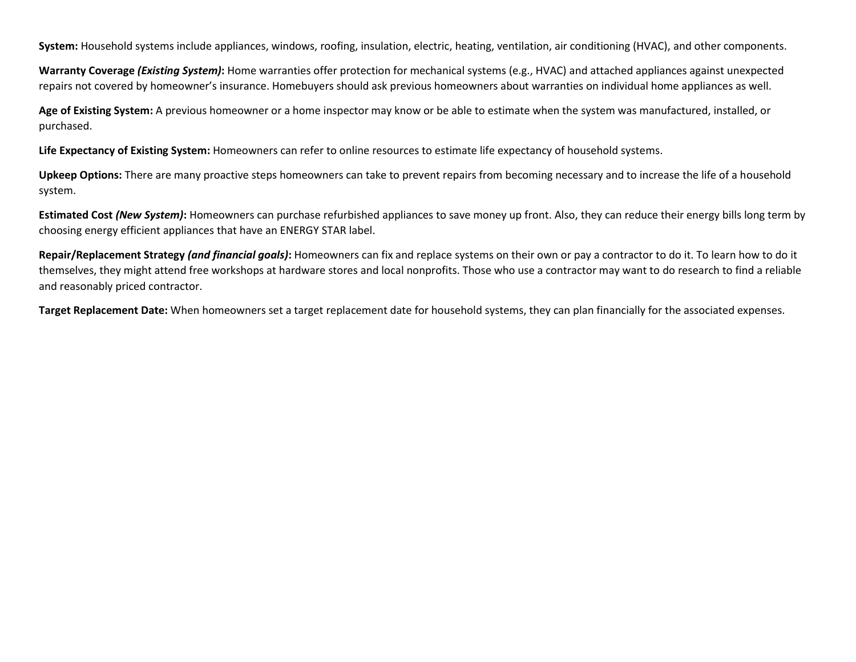**System:** Household systems include appliances, windows, roofing, insulation, electric, heating, ventilation, air conditioning (HVAC), and other components.

**Warranty Coverage** *(Existing System)***:** Home warranties offer protection for mechanical systems (e.g., HVAC) and attached appliances against unexpected repairs not covered by homeowner's insurance. Homebuyers should ask previous homeowners about warranties on individual home appliances as well.

**Age of Existing System:** A previous homeowner or a home inspector may know or be able to estimate when the system was manufactured, installed, or purchased.

**Life Expectancy of Existing System:** Homeowners can refer to online resources to estimate life expectancy of household systems.

**Upkeep Options:** There are many proactive steps homeowners can take to prevent repairs from becoming necessary and to increase the life of a household system.

**Estimated Cost** *(New System)***:** Homeowners can purchase refurbished appliances to save money up front. Also, they can reduce their energy bills long term by choosing energy efficient appliances that have an ENERGY STAR label.

**Repair/Replacement Strategy** *(and financial goals)***:** Homeowners can fix and replace systems on their own or pay a contractor to do it. To learn how to do it themselves, they might attend free workshops at hardware stores and local nonprofits. Those who use a contractor may want to do research to find a reliable and reasonably priced contractor.

**Target Replacement Date:** When homeowners set a target replacement date for household systems, they can plan financially for the associated expenses.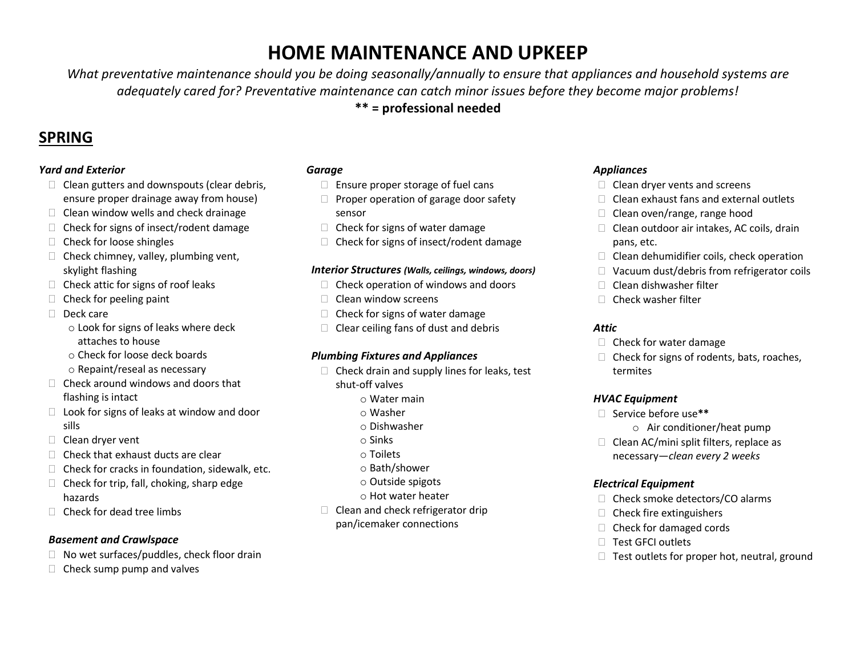# **HOME MAINTENANCE AND UPKEEP**

*What preventative maintenance should you be doing seasonally/annually to ensure that appliances and household systems are adequately cared for? Preventative maintenance can catch minor issues before they become major problems!* 

**\*\* = professional needed**

# **SPRING**

### *Yard and Exterior*

- $\Box$  Clean gutters and downspouts (clear debris, ensure proper drainage away from house)
- $\Box$  Clean window wells and check drainage
- $\Box$  Check for signs of insect/rodent damage
- $\Box$  Check for loose shingles
- $\Box$  Check chimney, valley, plumbing vent, skylight flashing
- $\Box$  Check attic for signs of roof leaks
- $\Box$  Check for peeling paint
- Deck care
	- o Look for signs of leaks where deck attaches to house
	- o Check for loose deck boards
	- o Repaint/reseal as necessary
- $\Box$  Check around windows and doors that flashing is intact
- $\Box$  Look for signs of leaks at window and door sills
- $\Box$  Clean dryer vent
- $\Box$  Check that exhaust ducts are clear
- $\Box$  Check for cracks in foundation, sidewalk, etc.
- $\Box$  Check for trip, fall, choking, sharp edge hazards
- $\Box$  Check for dead tree limbs

### *Basement and Crawlspace*

- $\Box$  No wet surfaces/puddles, check floor drain
- $\Box$  Check sump pump and valves

### *Garage*

- $\Box$  Ensure proper storage of fuel cans
- $\Box$  Proper operation of garage door safety sensor
- $\Box$  Check for signs of water damage
- $\Box$  Check for signs of insect/rodent damage

### *Interior Structures (Walls, ceilings, windows, doors)*

- $\Box$  Check operation of windows and doors
- $\Box$  Clean window screens
- $\Box$  Check for signs of water damage
- $\Box$  Clear ceiling fans of dust and debris

## *Plumbing Fixtures and Appliances*

- $\Box$  Check drain and supply lines for leaks, test shut-off valves
	- $\circ$  Water main
	- o Washer
	- o Dishwasher
	- o Sinks
	- o Toilets
	- o Bath/shower
	- o Outside spigots
	- o Hot water heater
- $\Box$  Clean and check refrigerator drip pan/icemaker connections

# *Appliances*

- $\Box$  Clean dryer vents and screens
- Clean exhaust fans and external outlets
- $\Box$  Clean oven/range, range hood
- $\Box$  Clean outdoor air intakes, AC coils, drain pans, etc.
- $\Box$  Clean dehumidifier coils, check operation
- $\Box$  Vacuum dust/debris from refrigerator coils
- Clean dishwasher filter
- $\Box$  Check washer filter

## *Attic*

- $\Box$  Check for water damage
- $\Box$  Check for signs of rodents, bats, roaches, termites

## *HVAC Equipment*

- Service before use**\*\***
	- o Air conditioner/heat pump
- $\Box$  Clean AC/mini split filters, replace as necessary—*clean every 2 weeks*

## *Electrical Equipment*

- $\Box$  Check smoke detectors/CO alarms
- $\Box$  Check fire extinguishers
- $\Box$  Check for damaged cords
- □ Test GFCI outlets
- $\Box$  Test outlets for proper hot, neutral, ground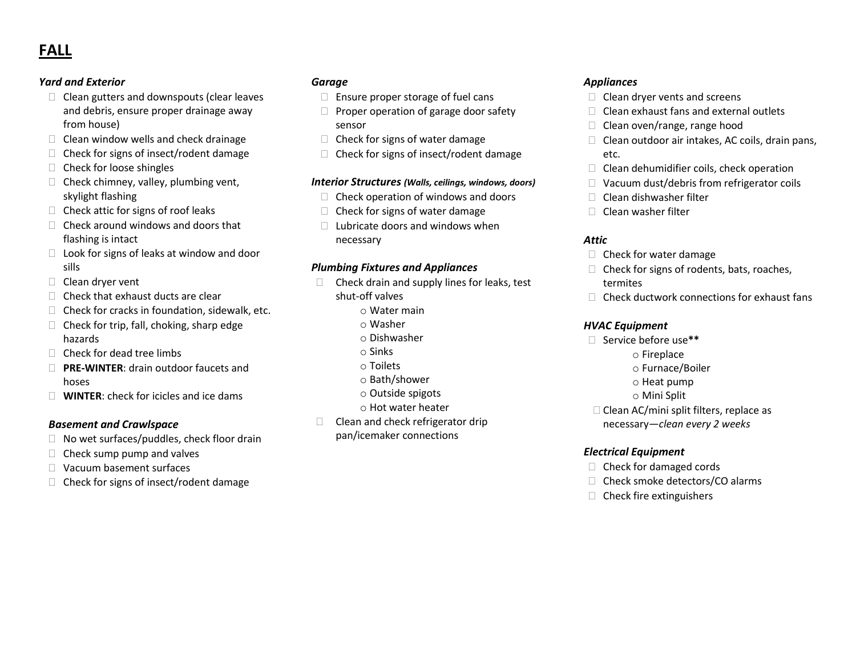# **FALL**

### *Yard and Exterior*

- $\Box$  Clean gutters and downspouts (clear leaves and debris, ensure proper drainage away from house)
- $\Box$  Clean window wells and check drainage
- $\Box$  Check for signs of insect/rodent damage
- $\Box$  Check for loose shingles
- $\Box$  Check chimney, valley, plumbing vent, skylight flashing
- $\Box$  Check attic for signs of roof leaks
- $\Box$  Check around windows and doors that flashing is intact
- $\Box$  Look for signs of leaks at window and door sills
- $\Box$  Clean dryer vent
- $\Box$  Check that exhaust ducts are clear
- $\Box$  Check for cracks in foundation, sidewalk, etc.
- $\Box$  Check for trip, fall, choking, sharp edge hazards
- $\Box$  Check for dead tree limbs
- **PRE-WINTER**: drain outdoor faucets and hoses
- **WINTER**: check for icicles and ice dams

### *Basement and Crawlspace*

- $\Box$  No wet surfaces/puddles, check floor drain
- $\Box$  Check sump pump and valves
- □ Vacuum basement surfaces
- $\Box$  Check for signs of insect/rodent damage

### *Garage*

- $\Box$  Ensure proper storage of fuel cans
- $\Box$  Proper operation of garage door safety sensor
- $\Box$  Check for signs of water damage
- $\Box$  Check for signs of insect/rodent damage

#### *Interior Structures (Walls, ceilings, windows, doors)*

- $\Box$  Check operation of windows and doors
- $\Box$  Check for signs of water damage
- $\Box$  Lubricate doors and windows when necessary

### *Plumbing Fixtures and Appliances*

- $\Box$  Check drain and supply lines for leaks, test shut-off valves
	- $\circ$  Water main
	- o Washer
	- o Dishwasher
	- o Sinks
	- o Toilets
	- o Bath/shower
	- o Outside spigots
	- o Hot water heater
- $\Box$  Clean and check refrigerator drip pan/icemaker connections

### *Appliances*

- $\Box$  Clean dryer vents and screens
- $\Box$  Clean exhaust fans and external outlets
- $\Box$  Clean oven/range, range hood
- $\Box$  Clean outdoor air intakes, AC coils, drain pans, etc.
- $\Box$  Clean dehumidifier coils, check operation
- □ Vacuum dust/debris from refrigerator coils
- $\Box$  Clean dishwasher filter
- $\Box$  Clean washer filter

### *Attic*

- $\Box$  Check for water damage
- $\Box$  Check for signs of rodents, bats, roaches, termites
- $\Box$  Check ductwork connections for exhaust fans

#### *HVAC Equipment*

- Service before use**\*\***
	- o Fireplace
	- o Furnace/Boiler
	- o Heat pump
	- o Mini Split
- □ Clean AC/mini split filters, replace as necessary—*clean every 2 weeks*

### *Electrical Equipment*

- $\Box$  Check for damaged cords
- □ Check smoke detectors/CO alarms
- $\Box$  Check fire extinguishers